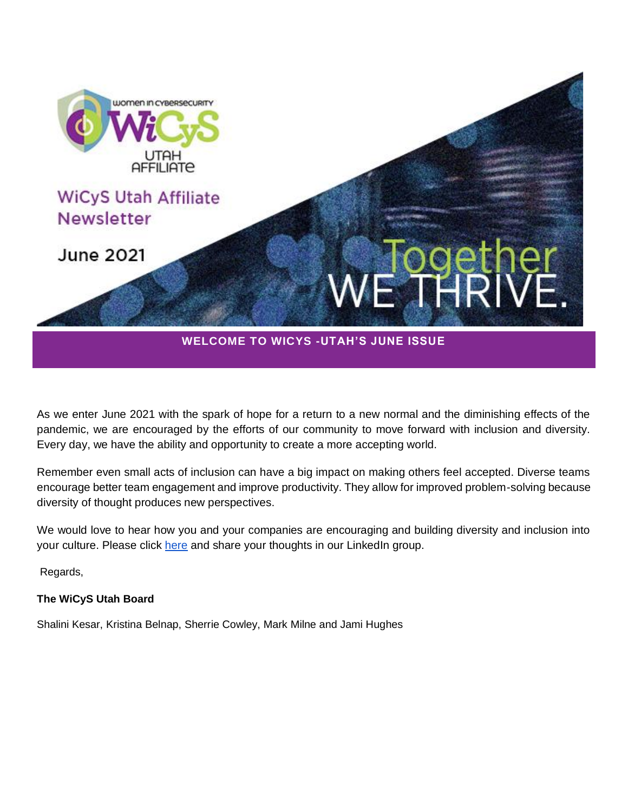

As we enter June 2021 with the spark of hope for a return to a new normal and the diminishing effects of the pandemic, we are encouraged by the efforts of our community to move forward with inclusion and diversity. Every day, we have the ability and opportunity to create a more accepting world.

Remember even small acts of inclusion can have a big impact on making others feel accepted. Diverse teams encourage better team engagement and improve productivity. They allow for improved problem-solving because diversity of thought produces new perspectives.

We would love to hear how you and your companies are encouraging and building diversity and inclusion into your culture. Please click [here](https://www.linkedin.com/groups/12495312/) and share your thoughts in our LinkedIn group.

Regards,

### **The WiCyS Utah Board**

Shalini Kesar, Kristina Belnap, Sherrie Cowley, Mark Milne and Jami Hughes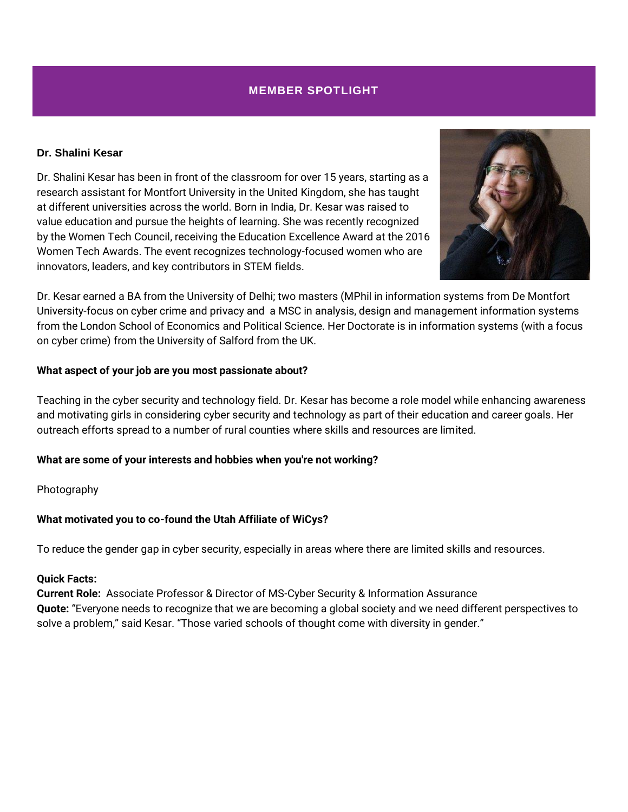### **MEMBER SPOTLIGHT**

#### **Dr. Shalini Kesar**

Dr. Shalini Kesar has been in front of the classroom for over 15 years, starting as a research assistant for Montfort University in the United Kingdom, she has taught at different universities across the world. Born in India, Dr. Kesar was raised to value education and pursue the heights of learning. She was recently recognized by the Women Tech Council, receiving the Education Excellence Award at the 2016 Women Tech Awards. The event recognizes technology-focused women who are innovators, leaders, and key contributors in STEM fields.



Dr. Kesar earned a BA from the University of Delhi; two masters (MPhil in information systems from De Montfort University-focus on cyber crime and privacy and a MSC in analysis, design and management information systems from the London School of Economics and Political Science. Her Doctorate is in information systems (with a focus on cyber crime) from the University of Salford from the UK.

### **What aspect of your job are you most passionate about?**

Teaching in the cyber security and technology field. Dr. Kesar has become a role model while enhancing awareness and motivating girls in considering cyber security and technology as part of their education and career goals. Her outreach efforts spread to a number of rural counties where skills and resources are limited.

### **What are some of your interests and hobbies when you're not working?**

Photography

### **What motivated you to co-found the Utah Affiliate of WiCys?**

To reduce the gender gap in cyber security, especially in areas where there are limited skills and resources.

#### **Quick Facts:**

**Current Role:** Associate Professor & Director of MS-Cyber Security & Information Assurance **Quote:** "Everyone needs to recognize that we are becoming a global society and we need different perspectives to solve a problem," said Kesar. "Those varied schools of thought come with diversity in gender."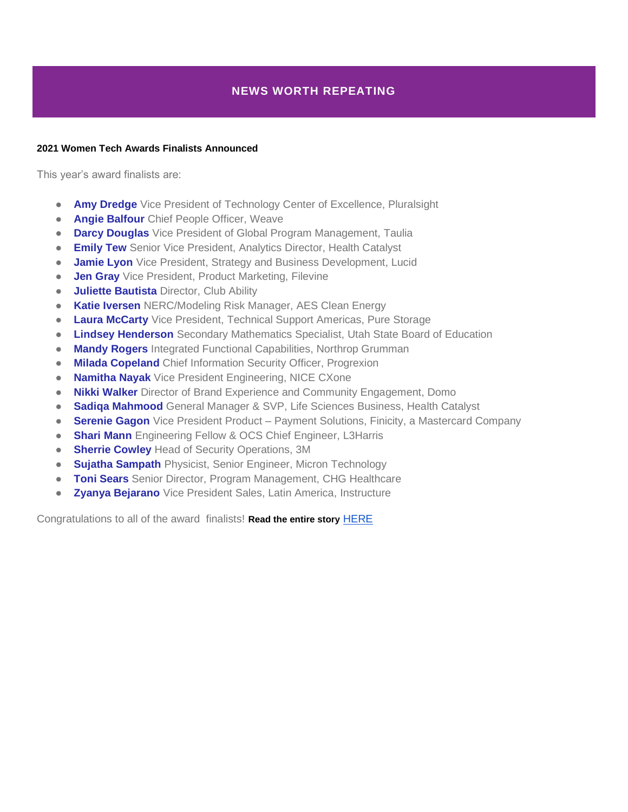#### **2021 Women Tech Awards Finalists Announced**

This year's award finalists are:

- **Amy Dredge** Vice President of Technology Center of Excellence, Pluralsight
- **Angie Balfour** Chief People Officer, Weave
- **Darcy Douglas** Vice President of Global Program Management, Taulia
- **Emily Tew** Senior Vice President, Analytics Director, Health Catalyst
- **Jamie Lyon** Vice President, Strategy and Business Development, Lucid
- **Jen Gray** Vice President, Product Marketing, Filevine
- **Juliette Bautista** Director, Club Ability
- **Katie Iversen** NERC/Modeling Risk Manager, AES Clean Energy
- **Laura McCarty** Vice President, Technical Support Americas, Pure Storage
- **Lindsey Henderson** Secondary Mathematics Specialist, Utah State Board of Education
- **Mandy Rogers** Integrated Functional Capabilities, Northrop Grumman
- **Milada Copeland** Chief Information Security Officer, Progrexion
- **Namitha Nayak** Vice President Engineering, NICE CXone
- **Nikki Walker** Director of Brand Experience and Community Engagement, Domo
- **Sadiqa Mahmood** General Manager & SVP, Life Sciences Business, Health Catalyst
- **Serenie Gagon** Vice President Product Payment Solutions, Finicity, a Mastercard Company
- **Shari Mann** Engineering Fellow & OCS Chief Engineer, L3Harris
- **Sherrie Cowley** Head of Security Operations, 3M
- **Sujatha Sampath** Physicist, Senior Engineer, Micron Technology
- **Toni Sears** Senior Director, Program Management, CHG Healthcare
- **Zyanya Bejarano** Vice President Sales, Latin America, Instructure

Congratulations to all of the award finalists! **Read the entire story** [HERE](https://www.womentechcouncil.com/awards/?fbclid=IwAR3xfk-1UNeyiRs9TPng4xMDJfwloEouVy5G-O_-0HIQKlOB-ur90V4tGWI)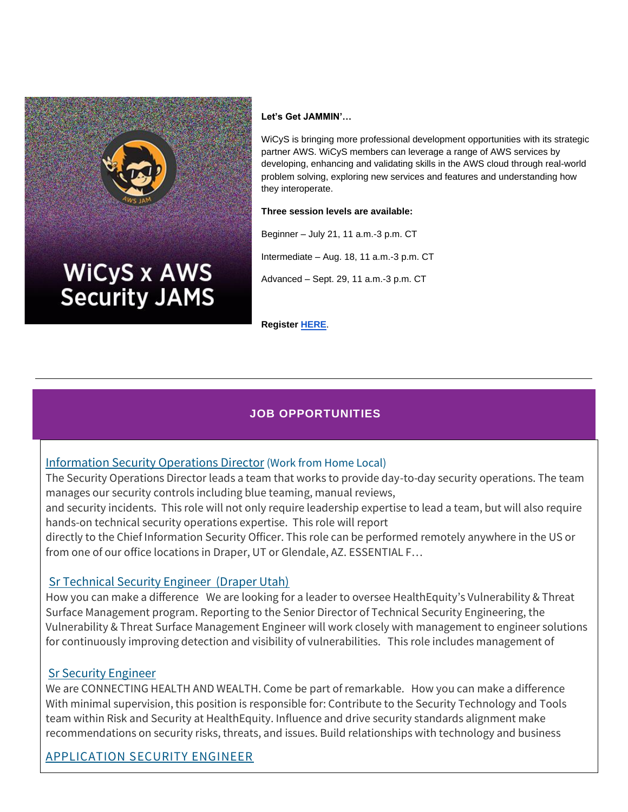

#### **Let's Get JAMMIN'…**

WiCyS is bringing more professional development opportunities with its strategic partner AWS. WiCyS members can leverage a range of AWS services by developing, enhancing and validating skills in the AWS cloud through real-world problem solving, exploring new services and features and understanding how they interoperate.

#### **Three session levels are available:**

Beginner – July 21, 11 a.m.-3 p.m. CT Intermediate – Aug. 18, 11 a.m.-3 p.m. CT

Advanced – Sept. 29, 11 a.m.-3 p.m. CT

**Register [HERE](http://www.wicys.org/benefits/jam-x-learning-series/)**.

# **JOB OPPORTUNITIES**

## [Information Security Operations Director](https://nam11.safelinks.protection.outlook.com/?url=https%3A%2F%2Finternal-progleasing.icims.com%2Fjobs%2F5062%2Fjob&data=04%7C01%7Ckbelnap%40healthequity.com%7Cfa349c27fdd04f5a8e0608d8fed3a150%7Cc5d0ad888f9343b89b7cc8a3bb8e410a%7C0%7C0%7C637539532185774555%7CUnknown%7CTWFpbGZsb3d8eyJWIjoiMC4wLjAwMDAiLCJQIjoiV2luMzIiLCJBTiI6Ik1haWwiLCJXVCI6Mn0%3D%7C1000&sdata=S41n72f7%2B1sfxXRMSYmgoA%2Bnc9h6criXFS3ow61q3bA%3D&reserved=0) (Work from Home Local)

The Security Operations Director leads a team that works to provide day-to-day security operations. The team manages our security controls including blue teaming, manual reviews,

and security incidents. This role will not only require leadership expertise to lead a team, but will also require hands-on technical security operations expertise. This role will report

directly to the Chief Information Security Officer. This role can be performed remotely anywhere in the US or from one of our office locations in Draper, UT or Glendale, AZ. ESSENTIAL F…

## [Sr Technical Security Engineer \(Draper Utah\)](https://careers-healthequity.icims.com/jobs/2797/sr-technical-security-engineer/job?in_iframe=1)

How you can make a difference We are looking for a leader to oversee HealthEquity's Vulnerability & Threat Surface Management program. Reporting to the Senior Director of Technical Security Engineering, the Vulnerability & Threat Surface Management Engineer will work closely with management to engineer solutions for continuously improving detection and visibility of vulnerabilities. This role includes management of

## [Sr Security Engineer](https://careers-healthequity.icims.com/jobs/2746/sr-security-engineer/job?in_iframe=1)

We are CONNECTING HEALTH AND WEALTH. Come be part of remarkable. How you can make a difference With minimal supervision, this position is responsible for: Contribute to the Security Technology and Tools team within Risk and Security at HealthEquity. Influence and drive security standards alignment make recommendations on security risks, threats, and issues. Build relationships with technology and business

# [APPLICATION SECURITY ENGINEER](https://careers-healthequity.icims.com/jobs/2737/application-security-engineer/job?in_iframe=1)